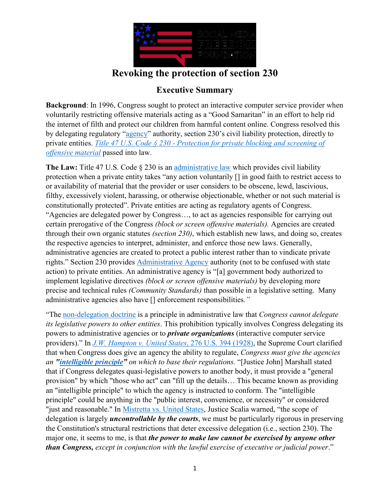

## **Revoking the protection of section 230**

## **Executive Summary**

**Background**: In 1996, Congress sought to protect an interactive computer service provider when voluntarily restricting offensive materials acting as a "Good Samaritan" in an effort to help rid the internet of filth and protect our children from harmful content online. Congress resolved this by delegating regulatory "[agency](https://www.law.cornell.edu/definitions/uscode.php?width=840&height=800&iframe=true&def_id=5-USC-1419699195-1277204883&term_occur=999&term_src=)" authority, section 230's civil liability protection, directly to private entities. *Title 47 U.S. Code § 230 - [Protection for private blocking and screening of](https://www.law.cornell.edu/uscode/text/47/230)  [offensive material](https://www.law.cornell.edu/uscode/text/47/230)* passed into law.

**The Law:** Title 47 U.S. Code § 230 is an [administrative law](https://www.law.cornell.edu/wex/administrative_law) which provides civil liability protection when a private entity takes "any action voluntarily [] in good faith to restrict access to or availability of material that the provider or user considers to be obscene, lewd, lascivious, filthy, excessively violent, harassing, or otherwise objectionable, whether or not such material is constitutionally protected". Private entities are acting as regulatory agents of Congress. "Agencies are delegated power by Congress…, to act as agencies responsible for carrying out certain prerogative of the Congress *(block or screen offensive materials).* Agencies are created through their own organic statutes *(section 230)*, which establish new laws, and doing so, creates the respective agencies to interpret, administer, and enforce those new laws. Generally, administrative agencies are created to protect a public interest rather than to vindicate private rights." Section 230 provides [Administrative Agency](https://www.law.cornell.edu/wex/administrative_agency) authority (not to be confused with state action) to private entities. An administrative agency is "[a] government body authorized to implement legislative directives *(block or screen offensive materials)* by developing more precise and technical rules *(Community Standards)* than possible in a legislative setting. Many administrative agencies also have [] enforcement responsibilities*."*

"The [non-delegation doctrine](https://www.law.cornell.edu/wex/nondelegation_doctrine) is a principle in administrative law that *Congress cannot delegate its legislative powers to other entities*. This prohibition typically involves Congress delegating its powers to administrative agencies or to *private organizations* (interactive computer service providers)." In *[J.W. Hampton v. United States](https://supreme.justia.com/cases/federal/us/276/394/)*, 276 U.S. 394 (1928), the Supreme Court clarified that when Congress does give an agency the ability to regulate, *Congress must give the agencies an ["intelligible principle](https://definitions.uslegal.com/i/intellligible-principle/)" on which to base their regulations.* "[Justice John] Marshall stated that if Congress delegates quasi-legislative powers to another body, it must provide a "general provision" by which "those who act" can "fill up the details… This became known as providing an "intelligible principle" to which the agency is instructed to conform. The "intelligible principle" could be anything in the "public interest, convenience, or necessity" or considered "just and reasonable." In [Mistretta vs. United States](https://www.law.cornell.edu/supremecourt/text/488/361), Justice Scalia warned, "the scope of delegation is largely *uncontrollable by the courts*, we must be particularly rigorous in preserving the Constitution's structural restrictions that deter excessive delegation (i.e., section 230). The major one, it seems to me, is that *the power to make law cannot be exercised by anyone other than Congress, except in conjunction with the lawful exercise of executive or judicial power*."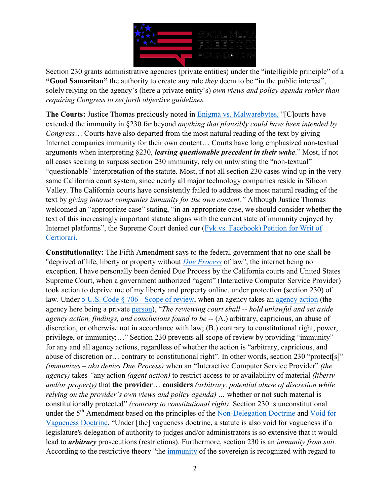

Section 230 grants administrative agencies (private entities) under the "intelligible principle" of a **"Good Samaritan"** the authority to create any rule *they* deem to be "in the public interest", solely relying on the agency's (here a private entity's) *own views and policy agenda rather than requiring Congress to set forth objective guidelines.*

**The Courts:** Justice Thomas preciously noted in [Enigma vs. Malwarebytes,](https://www.supremecourt.gov/opinions/20pdf/19-1284_869d.pdf) "[C]ourts have extended the immunity in §230 far beyond *anything that plausibly could have been intended by Congress*… Courts have also departed from the most natural reading of the text by giving Internet companies immunity for their own content… Courts have long emphasized non-textual arguments when interpreting §230, *leaving questionable precedent in their wake*." Most, if not all cases seeking to surpass section 230 immunity, rely on untwisting the "non-textual" "questionable" interpretation of the statute. Most, if not all section 230 cases wind up in the very same California court system, since nearly all major technology companies reside in Silicon Valley. The California courts have consistently failed to address the most natural reading of the text by *giving internet companies immunity for the own content."* Although Justice Thomas welcomed an "appropriate case" stating, "in an appropriate case, we should consider whether the text of this increasingly important statute aligns with the current state of immunity enjoyed by Internet platforms", the Supreme Court denied our (Fyk vs. Facebook) [Petition for Writ of](https://socialmediafreedom.org/wp-content/uploads/2021/09/11-United-States-Supreme-Court-Petition-for-Writ-of-Certiorari.pdf)  [Certiorari.](https://socialmediafreedom.org/wp-content/uploads/2021/09/11-United-States-Supreme-Court-Petition-for-Writ-of-Certiorari.pdf) 

**Constitutionality:** The Fifth Amendment says to the federal government that no one shall be "deprived of life, liberty or property without *[Due Process](https://www.law.cornell.edu/wex/due_process)* of law", the internet being no exception. I have personally been denied Due Process by the California courts and United States Supreme Court, when a government authorized "agent" (Interactive Computer Service Provider) took action to deprive me of my liberty and property online, under protection (section 230) of law. Under [5 U.S. Code § 706 -](https://www.law.cornell.edu/uscode/text/5/706) Scope of review, when an agency takes an [agency action](https://www.law.cornell.edu/definitions/uscode.php?width=840&height=800&iframe=true&def_id=5-USC-440128847-665156451&term_occur=999&term_src=title:5:part:I:chapter:7:section:706) (the agency here being a private [person\)](https://www.law.cornell.edu/definitions/uscode.php?width=840&height=800&iframe=true&def_id=5-USC-991716523-1277204884&term_occur=999&term_src=), "*The reviewing court shall -- hold unlawful and set aside agency action, findings, and conclusions found to be --* (A.) arbitrary, capricious, an abuse of discretion, or otherwise not in accordance with law; (B.) contrary to constitutional right, power, privilege, or immunity;…" Section 230 prevents all scope of review by providing "immunity" for any and all agency actions, regardless of whether the action is "arbitrary, capricious, and abuse of discretion or… contrary to constitutional right". In other words, section 230 "protect[s]" *(immunizes – aka denies Due Process)* when an "Interactive Computer Service Provider" *(the agency)* takes *"*any action *(agent action)* to restrict access to or availability of material *(liberty and/or property)* that **the provider**… **considers** *(arbitrary, potential abuse of discretion while relying on the provider's own views and policy agenda) …* whether or not such material is constitutionally protected" *(contrary to constitutional right)*. Section 230 is unconstitutional under the  $5<sup>th</sup>$  Amendment based on the principles of the [Non-Delegation Doctrine](https://www.law.cornell.edu/wex/nondelegation_doctrine) and Void for [Vagueness Doctrine](https://www.law.cornell.edu/wex/void_for_vagueness). "Under [the] vagueness doctrine, a statute is also void for vagueness if a legislature's delegation of authority to judges and/or administrators is so extensive that it would lead to *arbitrary* prosecutions (restrictions). Furthermore, section 230 is an *immunity from suit.* According to the restrictive theory "the [immunity](https://www.thefreelibrary.com/Foreign+sovereign+immunity+and+comparative+institutional+competence-a0401777155) of the sovereign is recognized with regard to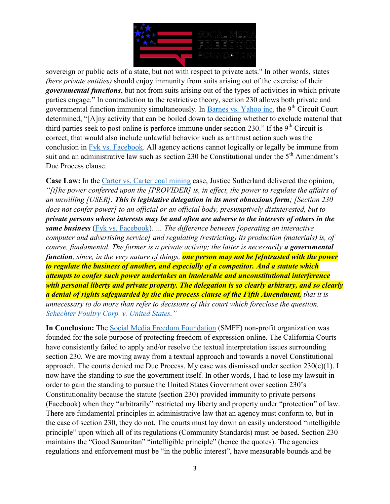

sovereign or public acts of a state, but not with respect to private acts." In other words, states *(here private entities)* should enjoy immunity from suits arising out of the exercise of their *governmental functions*, but not from suits arising out of the types of activities in which private parties engage." In contradiction to the restrictive theory, section 230 allows both private and governmental function immunity simultaneously. In [Barnes vs. Yahoo inc.](https://law.justia.com/cases/federal/appellate-courts/ca9/05-36189/05-36189-2011-02-25.html) the  $9<sup>th</sup>$  Circuit Court determined, "[A]ny activity that can be boiled down to deciding whether to exclude material that third parties seek to post online is perforce immune under section 230." If the  $9<sup>th</sup>$  Circuit is correct, that would also include unlawful behavior such as antitrust action such was the conclusion in [Fyk vs. Facebook.](https://socialmediafreedom.org/wp-content/uploads/2021/09/11-United-States-Supreme-Court-Petition-for-Writ-of-Certiorari.pdf) All agency actions cannot logically or legally be immune from suit and an administrative law such as section 230 be Constitutional under the  $5<sup>th</sup>$  Amendment's Due Process clause.

**Case Law:** In the [Carter vs. Carter coal mining](https://www.law.cornell.edu/supremecourt/text/298/238) case, Justice Sutherland delivered the opinion, *"[t]he power conferred upon the [PROVIDER] is, in effect, the power to regulate the affairs of an unwilling [USER]. This is legislative delegation in its most obnoxious form; [Section 230 does not confer power] to an official or an official body, presumptively disinterested, but to private persons whose interests may be and often are adverse to the interests of others in the same business* [\(Fyk vs. Facebook\)](https://www.supremecourt.gov/DocketPDF/20/20-632/159405/20201102152149780_Fyk%20Petition%20E%20FILE%20Nov%202%202020.pdf)*. … The difference between [operating an interactive computer and advertising service] and regulating (restricting) its production (materials) is, of course, fundamental. The former is a private activity; the latter is necessarily a governmental function, since, in the very nature of things, one person may not be [e]ntrusted with the power to regulate the business of another, and especially of a competitor. And a statute which attempts to confer such power undertakes an intolerable and unconstitutional interference with personal liberty and private property. The delegation is so clearly arbitrary, and so clearly a denial of rights safeguarded by the due process clause of the Fifth Amendment, that it is unnecessary to do more than refer to decisions of this court which foreclose the question. [Schechter Poultry Corp. v. United States](https://supreme.justia.com/cases/federal/us/295/495/)."*

**In Conclusion:** The [Social Media Freedom Foundation](https://socialmediafreedom.org/) (SMFF) non-profit organization was founded for the sole purpose of protecting freedom of expression online. The California Courts have consistently failed to apply and/or resolve the textual interpretation issues surrounding section 230. We are moving away from a textual approach and towards a novel Constitutional approach. The courts denied me Due Process. My case was dismissed under section 230(c)(1). I now have the standing to sue the government itself. In other words, I had to lose my lawsuit in order to gain the standing to pursue the United States Government over section 230's Constitutionality because the statute (section 230) provided immunity to private persons (Facebook) when they "arbitrarily" restricted my liberty and property under "protection" of law. There are fundamental principles in administrative law that an agency must conform to, but in the case of section 230, they do not. The courts must lay down an easily understood "intelligible principle" upon which all of its regulations (Community Standards) must be based. Section 230 maintains the "Good Samaritan" "intelligible principle" (hence the quotes). The agencies regulations and enforcement must be "in the public interest", have measurable bounds and be